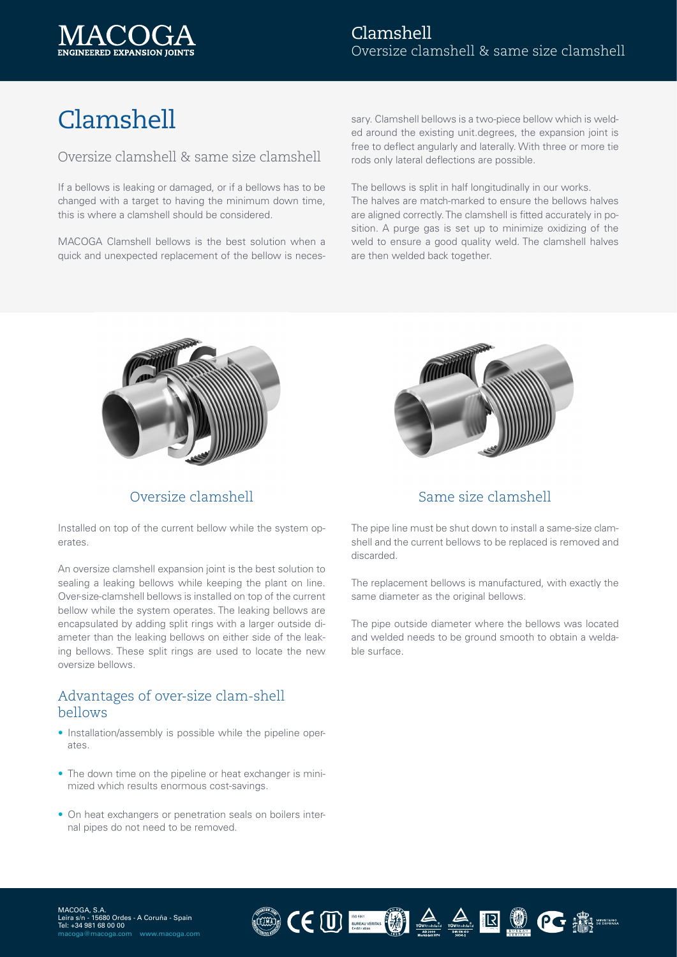

# Clamshell

#### Oversize clamshell & same size clamshell

If a bellows is leaking or damaged, or if a bellows has to be changed with a target to having the minimum down time, this is where a clamshell should be considered.

MACOGA Clamshell bellows is the best solution when a quick and unexpected replacement of the bellow is neces-

sary. Clamshell bellows is a two-piece bellow which is welded around the existing unit.degrees, the expansion joint is free to deflect angularly and laterally. With three or more tie rods only lateral deflections are possible.

The bellows is split in half longitudinally in our works. The halves are match-marked to ensure the bellows halves are aligned correctly. The clamshell is fitted accurately in position. A purge gas is set up to minimize oxidizing of the weld to ensure a good quality weld. The clamshell halves are then welded back together.



Installed on top of the current bellow while the system operates.

An oversize clamshell expansion joint is the best solution to sealing a leaking bellows while keeping the plant on line. Over-size-clamshell bellows is installed on top of the current bellow while the system operates. The leaking bellows are encapsulated by adding split rings with a larger outside diameter than the leaking bellows on either side of the leaking bellows. These split rings are used to locate the new oversize bellows.

#### Advantages of over-size clam-shell bellows

- Installation/assembly is possible while the pipeline operates.
- The down time on the pipeline or heat exchanger is minimized which results enormous cost-savings.
- On heat exchangers or penetration seals on boilers internal pipes do not need to be removed.



#### Oversize clamshell Same size clamshell

The pipe line must be shut down to install a same-size clamshell and the current bellows to be replaced is removed and discarded.

The replacement bellows is manufactured, with exactly the same diameter as the original bellows.

The pipe outside diameter where the bellows was located and welded needs to be ground smooth to obtain a weldable surface.

 $\textstyle \textcolor{red}{\mathbf{C}} \textcolor{red}{\textcolor{blue}{\mathbf{C}}}\textcolor{red}{\textcolor{blue}{\mathbf{U}}}\textcolor{red}{\textcolor{blue}{\mathbf{V}}}\textcolor{red}{\textcolor{blue}{\mathbf{V}}}\textcolor{red}{\textcolor{blue}{\mathbf{V}}}\textcolor{red}{\textcolor{blue}{\mathbf{V}}}\textcolor{red}{\textcolor{blue}{\mathbf{V}}}\textcolor{red}{\textcolor{blue}{\mathbf{A}}}\textcolor{red}{\textcolor{blue}{\mathbf{A}}}\textcolor{red}{\textcolor{blue}{\mathbf{A}}}\textcolor{red}{\textcolor{blue}{\mathbf{A}}}\textcolor{red}{\$